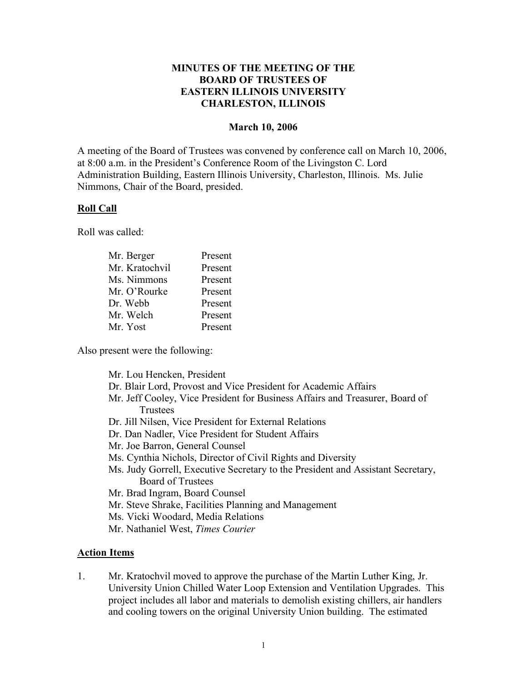# **MINUTES OF THE MEETING OF THE BOARD OF TRUSTEES OF EASTERN ILLINOIS UNIVERSITY CHARLESTON, ILLINOIS**

#### **March 10, 2006**

A meeting of the Board of Trustees was convened by conference call on March 10, 2006, at 8:00 a.m. in the President's Conference Room of the Livingston C. Lord Administration Building, Eastern Illinois University, Charleston, Illinois. Ms. Julie Nimmons, Chair of the Board, presided.

# **Roll Call**

Roll was called:

| Mr. Berger     | Present |
|----------------|---------|
| Mr. Kratochvil | Present |
| Ms. Nimmons    | Present |
| Mr. O'Rourke   | Present |
| Dr. Webb       | Present |
| Mr. Welch      | Present |
| Mr. Yost       | Present |

Also present were the following:

Mr. Lou Hencken, President

- Dr. Blair Lord, Provost and Vice President for Academic Affairs
- Mr. Jeff Cooley, Vice President for Business Affairs and Treasurer, Board of **Trustees**
- Dr. Jill Nilsen, Vice President for External Relations
- Dr. Dan Nadler, Vice President for Student Affairs
- Mr. Joe Barron, General Counsel
- Ms. Cynthia Nichols, Director of Civil Rights and Diversity
- Ms. Judy Gorrell, Executive Secretary to the President and Assistant Secretary, Board of Trustees
- Mr. Brad Ingram, Board Counsel
- Mr. Steve Shrake, Facilities Planning and Management
- Ms. Vicki Woodard, Media Relations
- Mr. Nathaniel West, *Times Courier*

### **Action Items**

1. Mr. Kratochvil moved to approve the purchase of the Martin Luther King, Jr. University Union Chilled Water Loop Extension and Ventilation Upgrades. This project includes all labor and materials to demolish existing chillers, air handlers and cooling towers on the original University Union building. The estimated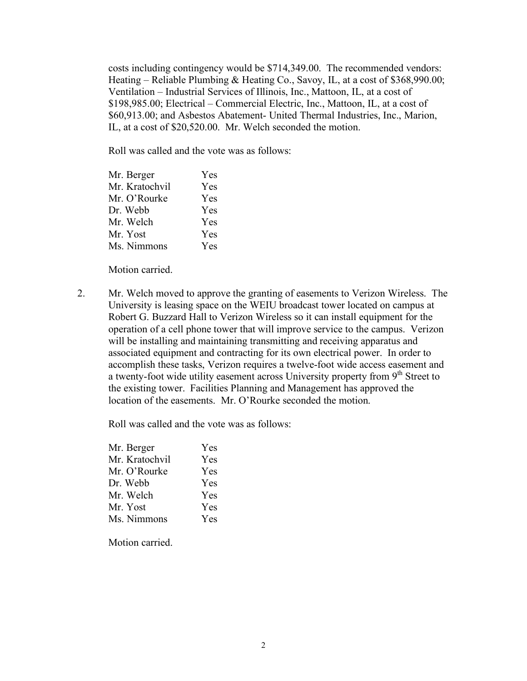costs including contingency would be \$714,349.00. The recommended vendors: Heating – Reliable Plumbing & Heating Co., Savoy, IL, at a cost of \$368,990.00; Ventilation – Industrial Services of Illinois, Inc., Mattoon, IL, at a cost of \$198,985.00; Electrical – Commercial Electric, Inc., Mattoon, IL, at a cost of \$60,913.00; and Asbestos Abatement- United Thermal Industries, Inc., Marion, IL, at a cost of \$20,520.00. Mr. Welch seconded the motion.

Roll was called and the vote was as follows:

| Mr. Berger     | Yes |
|----------------|-----|
| Mr. Kratochvil | Yes |
| Mr. O'Rourke   | Yes |
| Dr. Webb       | Yes |
| Mr. Welch      | Yes |
| Mr. Yost       | Yes |
| Ms. Nimmons    | Yes |
|                |     |

Motion carried.

2. Mr. Welch moved to approve the granting of easements to Verizon Wireless. The University is leasing space on the WEIU broadcast tower located on campus at Robert G. Buzzard Hall to Verizon Wireless so it can install equipment for the operation of a cell phone tower that will improve service to the campus. Verizon will be installing and maintaining transmitting and receiving apparatus and associated equipment and contracting for its own electrical power. In order to accomplish these tasks, Verizon requires a twelve-foot wide access easement and a twenty-foot wide utility easement across University property from  $9<sup>th</sup>$  Street to the existing tower. Facilities Planning and Management has approved the location of the easements. Mr. O'Rourke seconded the motion.

Roll was called and the vote was as follows:

| Mr. Berger     | Yes        |
|----------------|------------|
| Mr. Kratochvil | Yes        |
| Mr. O'Rourke   | Yes        |
| Dr. Webb       | Yes        |
| Mr. Welch      | <b>Yes</b> |
| Mr. Yost       | <b>Yes</b> |
| Ms. Nimmons    | Yes.       |

Motion carried.